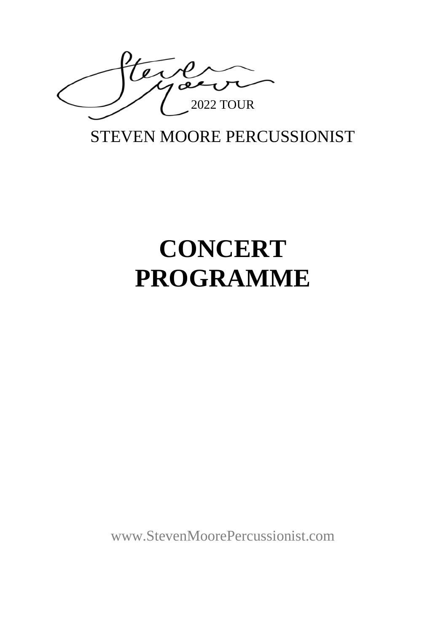

## STEVEN MOORE PERCUSSIONIST

# **CONCERT PROGRAMME**

[www.StevenMoorePercussionist.com](http://www.stevenmoorepercussionist.com/)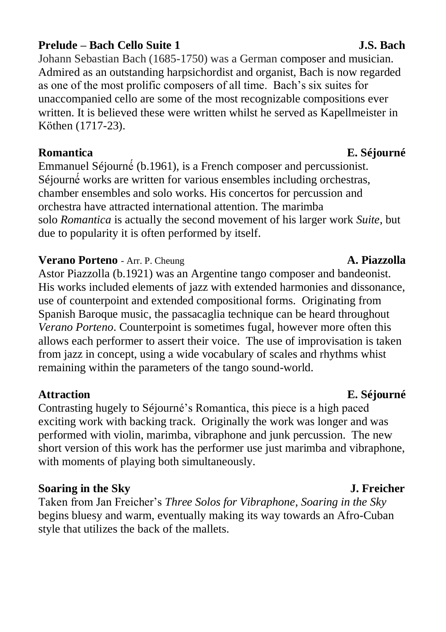### **Prelude – Bach Cello Suite 1 J.S. Bach**

Johann Sebastian Bach (1685-1750) was a German composer and musician. Admired as an outstanding harpsichordist and organist, Bach is now regarded as one of the most prolific composers of all time. Bach's six suites for unaccompanied cello are some of the most recognizable compositions ever written. It is believed these were written whilst he served as Kapellmeister in Köthen (1717-23).

### **Romantica E. Séjourné**

Emmanuel Séjourné́(b.1961), is a French composer and percussionist. Séjourné<sup>*works* are written for various ensembles including orchestras,</sup> chamber ensembles and solo works. His concertos for percussion and orchestra have attracted international attention. The marimba solo *Romantica* is actually the second movement of his larger work *Suite*, but due to popularity it is often performed by itself.

### **Verano Porteno** - Arr. P. Cheung **A. Piazzolla**

Astor Piazzolla (b.1921) was an Argentine tango composer and bandeonist. His works included elements of jazz with extended harmonies and dissonance, use of counterpoint and extended compositional forms. Originating from Spanish Baroque music, the passacaglia technique can be heard throughout *Verano Porteno*. Counterpoint is sometimes fugal, however more often this allows each performer to assert their voice. The use of improvisation is taken from jazz in concept, using a wide vocabulary of scales and rhythms whist remaining within the parameters of the tango sound-world.

### **Attraction E. Séjourné**

Contrasting hugely to Séjourné's Romantica, this piece is a high paced exciting work with backing track. Originally the work was longer and was performed with violin, marimba, vibraphone and junk percussion. The new short version of this work has the performer use just marimba and vibraphone, with moments of playing both simultaneously.

### **Soaring in the Sky J. Freicher**

Taken from Jan Freicher's *Three Solos for Vibraphone*, *Soaring in the Sky* begins bluesy and warm, eventually making its way towards an Afro-Cuban style that utilizes the back of the mallets.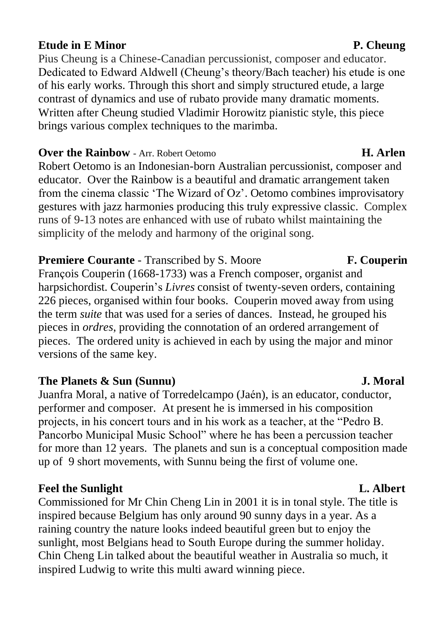### **Etude in E Minor** P. Cheung

Pius Cheung is a Chinese-Canadian percussionist, composer and educator. Dedicated to Edward Aldwell (Cheung's theory/Bach teacher) his etude is one of his early works. Through this short and simply structured etude, a large contrast of dynamics and use of rubato provide many dramatic moments. Written after Cheung studied Vladimir Horowitz pianistic style, this piece brings various complex techniques to the marimba.

### **Over the Rainbow** - Arr. Robert Oetomo **H. Arlen**

Robert Oetomo is an Indonesian-born Australian percussionist, composer and educator. Over the Rainbow is a beautiful and dramatic arrangement taken from the cinema classic 'The Wizard of Oz'. Oetomo combines improvisatory gestures with jazz harmonies producing this truly expressive classic. Complex runs of 9-13 notes are enhanced with use of rubato whilst maintaining the simplicity of the melody and harmony of the original song.

## **Premiere Courante** - Transcribed by S. Moore **F. Couperin**

François Couperin (1668-1733) was a French composer, organist and harpsichordist. Couperin's *Livres* consist of twenty-seven orders, containing 226 pieces, organised within four books. Couperin moved away from using the term *suite* that was used for a series of dances. Instead, he grouped his pieces in *ordres*, providing the connotation of an ordered arrangement of pieces. The ordered unity is achieved in each by using the major and minor versions of the same key.

### **The Planets & Sun (Sunnu) J. Moral**

Juanfra Moral, a native of Torredelcampo (Jaén), is an educator, conductor, performer and composer. At present he is immersed in his composition projects, in his concert tours and in his work as a teacher, at the "Pedro B. Pancorbo Municipal Music School" where he has been a percussion teacher for more than 12 years. The planets and sun is a conceptual composition made up of 9 short movements, with Sunnu being the first of volume one.

### **Feel the Sunlight L. Albert**

Commissioned for Mr Chin Cheng Lin in 2001 it is in tonal style. The title is inspired because Belgium has only around 90 sunny days in a year. As a raining country the nature looks indeed beautiful green but to enjoy the sunlight, most Belgians head to South Europe during the summer holiday. Chin Cheng Lin talked about the beautiful weather in Australia so much, it inspired Ludwig to write this multi award winning piece.